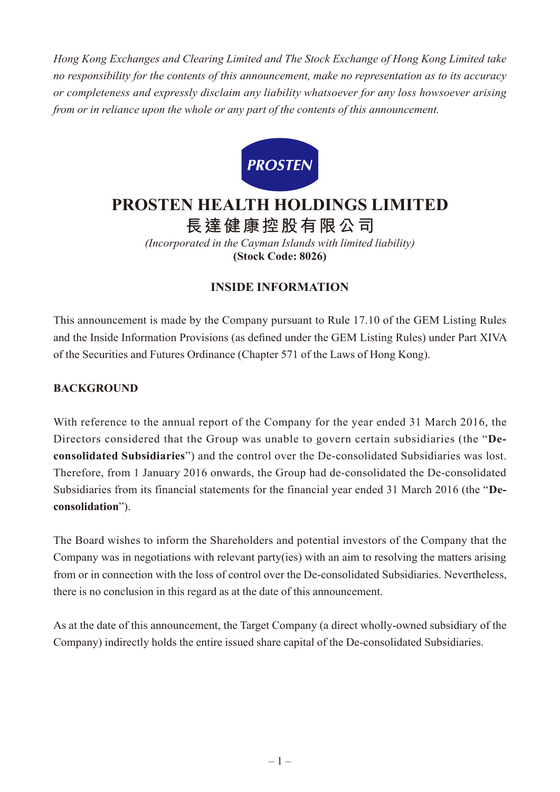*Hong Kong Exchanges and Clearing Limited and The Stock Exchange of Hong Kong Limited take no responsibility for the contents of this announcement, make no representation as to its accuracy or completeness and expressly disclaim any liability whatsoever for any loss howsoever arising from or in reliance upon the whole or any part of the contents of this announcement.*



# **PROSTEN HEALTH HOLDINGS LIMITED**

**長達健康控股有限公司**

*(Incorporated in the Cayman Islands with limited liability)* **(Stock Code: 8026)**

# **INSIDE INFORMATION**

This announcement is made by the Company pursuant to Rule 17.10 of the GEM Listing Rules and the Inside Information Provisions (as defined under the GEM Listing Rules) under Part XIVA of the Securities and Futures Ordinance (Chapter 571 of the Laws of Hong Kong).

# **Background**

With reference to the annual report of the Company for the year ended 31 March 2016, the Directors considered that the Group was unable to govern certain subsidiaries (the "**Deconsolidated Subsidiaries**") and the control over the De-consolidated Subsidiaries was lost. Therefore, from 1 January 2016 onwards, the Group had de-consolidated the De-consolidated Subsidiaries from its financial statements for the financial year ended 31 March 2016 (the "**Deconsolidation**").

The Board wishes to inform the Shareholders and potential investors of the Company that the Company was in negotiations with relevant party(ies) with an aim to resolving the matters arising from or in connection with the loss of control over the De-consolidated Subsidiaries. Nevertheless, there is no conclusion in this regard as at the date of this announcement.

As at the date of this announcement, the Target Company (a direct wholly-owned subsidiary of the Company) indirectly holds the entire issued share capital of the De-consolidated Subsidiaries.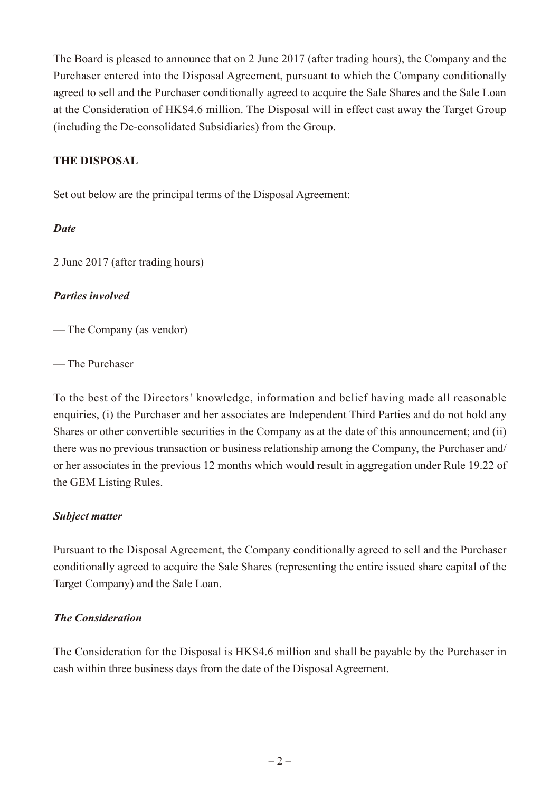The Board is pleased to announce that on 2 June 2017 (after trading hours), the Company and the Purchaser entered into the Disposal Agreement, pursuant to which the Company conditionally agreed to sell and the Purchaser conditionally agreed to acquire the Sale Shares and the Sale Loan at the Consideration of HK\$4.6 million. The Disposal will in effect cast away the Target Group (including the De-consolidated Subsidiaries) from the Group.

## **The Disposal**

Set out below are the principal terms of the Disposal Agreement:

#### *Date*

2 June 2017 (after trading hours)

## *Parties involved*

— The Company (as vendor)

— The Purchaser

To the best of the Directors' knowledge, information and belief having made all reasonable enquiries, (i) the Purchaser and her associates are Independent Third Parties and do not hold any Shares or other convertible securities in the Company as at the date of this announcement; and (ii) there was no previous transaction or business relationship among the Company, the Purchaser and/ or her associates in the previous 12 months which would result in aggregation under Rule 19.22 of the GEM Listing Rules.

## *Subject matter*

Pursuant to the Disposal Agreement, the Company conditionally agreed to sell and the Purchaser conditionally agreed to acquire the Sale Shares (representing the entire issued share capital of the Target Company) and the Sale Loan.

## *The Consideration*

The Consideration for the Disposal is HK\$4.6 million and shall be payable by the Purchaser in cash within three business days from the date of the Disposal Agreement.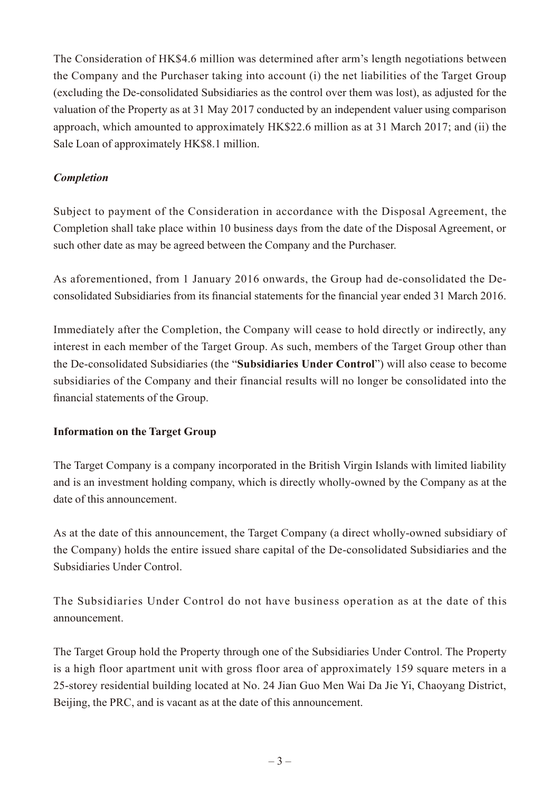The Consideration of HK\$4.6 million was determined after arm's length negotiations between the Company and the Purchaser taking into account (i) the net liabilities of the Target Group (excluding the De-consolidated Subsidiaries as the control over them was lost), as adjusted for the valuation of the Property as at 31 May 2017 conducted by an independent valuer using comparison approach, which amounted to approximately HK\$22.6 million as at 31 March 2017; and (ii) the Sale Loan of approximately HK\$8.1 million.

## *Completion*

Subject to payment of the Consideration in accordance with the Disposal Agreement, the Completion shall take place within 10 business days from the date of the Disposal Agreement, or such other date as may be agreed between the Company and the Purchaser.

As aforementioned, from 1 January 2016 onwards, the Group had de-consolidated the Deconsolidated Subsidiaries from its financial statements for the financial year ended 31 March 2016.

Immediately after the Completion, the Company will cease to hold directly or indirectly, any interest in each member of the Target Group. As such, members of the Target Group other than the De-consolidated Subsidiaries (the "**Subsidiaries Under Control**") will also cease to become subsidiaries of the Company and their financial results will no longer be consolidated into the financial statements of the Group.

#### **Information on the Target Group**

The Target Company is a company incorporated in the British Virgin Islands with limited liability and is an investment holding company, which is directly wholly-owned by the Company as at the date of this announcement.

As at the date of this announcement, the Target Company (a direct wholly-owned subsidiary of the Company) holds the entire issued share capital of the De-consolidated Subsidiaries and the Subsidiaries Under Control.

The Subsidiaries Under Control do not have business operation as at the date of this announcement.

The Target Group hold the Property through one of the Subsidiaries Under Control. The Property is a high floor apartment unit with gross floor area of approximately 159 square meters in a 25-storey residential building located at No. 24 Jian Guo Men Wai Da Jie Yi, Chaoyang District, Beijing, the PRC, and is vacant as at the date of this announcement.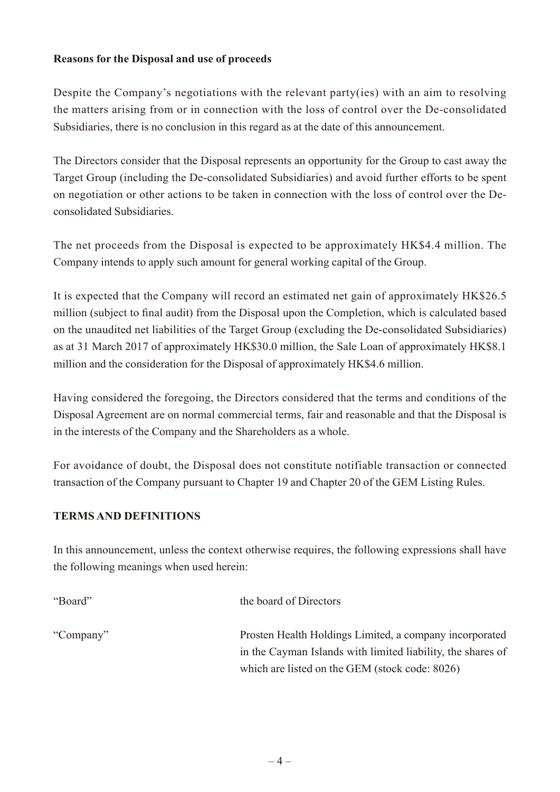#### **Reasons for the Disposal and use of proceeds**

Despite the Company's negotiations with the relevant party(ies) with an aim to resolving the matters arising from or in connection with the loss of control over the De-consolidated Subsidiaries, there is no conclusion in this regard as at the date of this announcement.

The Directors consider that the Disposal represents an opportunity for the Group to cast away the Target Group (including the De-consolidated Subsidiaries) and avoid further efforts to be spent on negotiation or other actions to be taken in connection with the loss of control over the Deconsolidated Subsidiaries.

The net proceeds from the Disposal is expected to be approximately HK\$4.4 million. The Company intends to apply such amount for general working capital of the Group.

It is expected that the Company will record an estimated net gain of approximately HK\$26.5 million (subject to final audit) from the Disposal upon the Completion, which is calculated based on the unaudited net liabilities of the Target Group (excluding the De-consolidated Subsidiaries) as at 31 March 2017 of approximately HK\$30.0 million, the Sale Loan of approximately HK\$8.1 million and the consideration for the Disposal of approximately HK\$4.6 million.

Having considered the foregoing, the Directors considered that the terms and conditions of the Disposal Agreement are on normal commercial terms, fair and reasonable and that the Disposal is in the interests of the Company and the Shareholders as a whole.

For avoidance of doubt, the Disposal does not constitute notifiable transaction or connected transaction of the Company pursuant to Chapter 19 and Chapter 20 of the GEM Listing Rules.

## **TERMS AND DEFINITIONS**

In this announcement, unless the context otherwise requires, the following expressions shall have the following meanings when used herein:

| "Board"   | the board of Directors                                      |
|-----------|-------------------------------------------------------------|
| "Company" | Prosten Health Holdings Limited, a company incorporated     |
|           | in the Cayman Islands with limited liability, the shares of |
|           | which are listed on the GEM (stock code: 8026)              |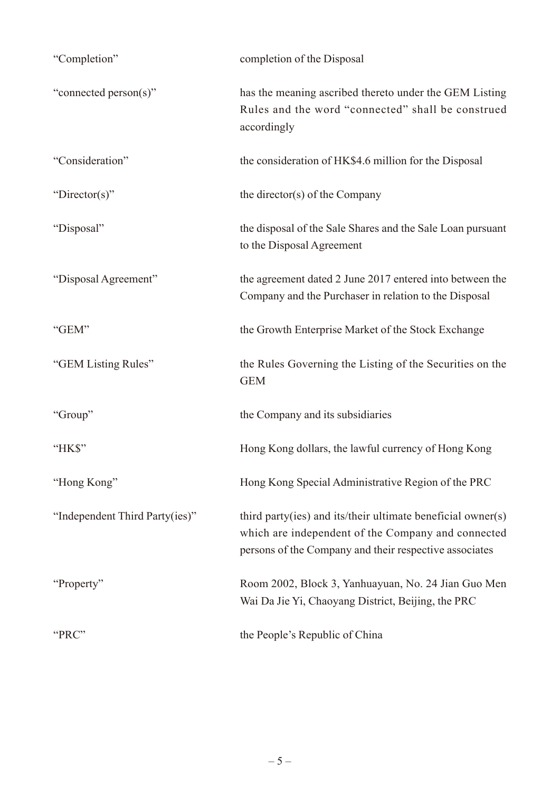| "Completion"                   | completion of the Disposal                                                                                                                                                  |
|--------------------------------|-----------------------------------------------------------------------------------------------------------------------------------------------------------------------------|
| "connected person(s)"          | has the meaning ascribed thereto under the GEM Listing<br>Rules and the word "connected" shall be construed<br>accordingly                                                  |
| "Consideration"                | the consideration of HK\$4.6 million for the Disposal                                                                                                                       |
| "Director(s)"                  | the director(s) of the Company                                                                                                                                              |
| "Disposal"                     | the disposal of the Sale Shares and the Sale Loan pursuant<br>to the Disposal Agreement                                                                                     |
| "Disposal Agreement"           | the agreement dated 2 June 2017 entered into between the<br>Company and the Purchaser in relation to the Disposal                                                           |
| "GEM"                          | the Growth Enterprise Market of the Stock Exchange                                                                                                                          |
| "GEM Listing Rules"            | the Rules Governing the Listing of the Securities on the<br><b>GEM</b>                                                                                                      |
| "Group"                        | the Company and its subsidiaries                                                                                                                                            |
| "HKS"                          | Hong Kong dollars, the lawful currency of Hong Kong                                                                                                                         |
| "Hong Kong"                    | Hong Kong Special Administrative Region of the PRC                                                                                                                          |
| "Independent Third Party(ies)" | third party(ies) and its/their ultimate beneficial owner(s)<br>which are independent of the Company and connected<br>persons of the Company and their respective associates |
| "Property"                     | Room 2002, Block 3, Yanhuayuan, No. 24 Jian Guo Men<br>Wai Da Jie Yi, Chaoyang District, Beijing, the PRC                                                                   |
| "PRC"                          | the People's Republic of China                                                                                                                                              |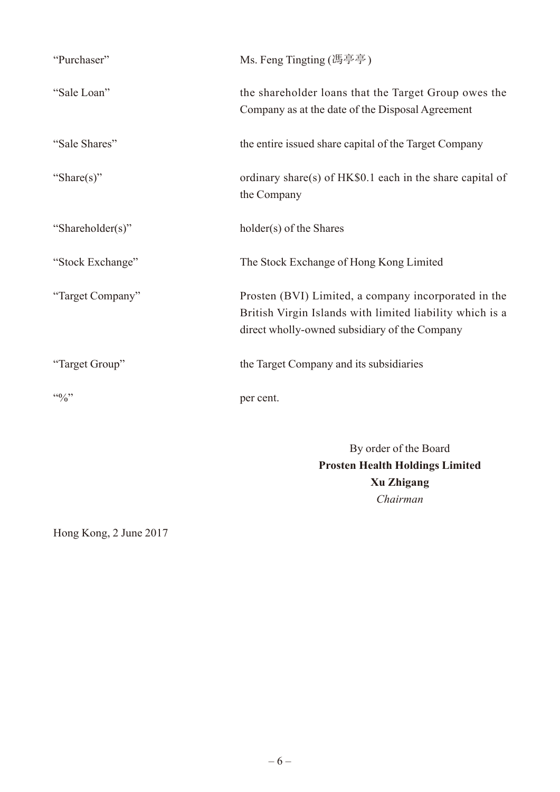| "Purchaser"      | Ms. Feng Tingting (馮亭亭)                                                                                                                                           |
|------------------|-------------------------------------------------------------------------------------------------------------------------------------------------------------------|
| "Sale Loan"      | the shareholder loans that the Target Group owes the<br>Company as at the date of the Disposal Agreement                                                          |
| "Sale Shares"    | the entire issued share capital of the Target Company                                                                                                             |
| "Share(s)"       | ordinary share(s) of HK\$0.1 each in the share capital of<br>the Company                                                                                          |
| "Shareholder(s)" | holder(s) of the Shares                                                                                                                                           |
| "Stock Exchange" | The Stock Exchange of Hong Kong Limited                                                                                                                           |
| "Target Company" | Prosten (BVI) Limited, a company incorporated in the<br>British Virgin Islands with limited liability which is a<br>direct wholly-owned subsidiary of the Company |
| "Target Group"   | the Target Company and its subsidiaries                                                                                                                           |
| 440/2            | per cent.                                                                                                                                                         |

By order of the Board **Prosten Health Holdings Limited Xu Zhigang** *Chairman*

Hong Kong, 2 June 2017